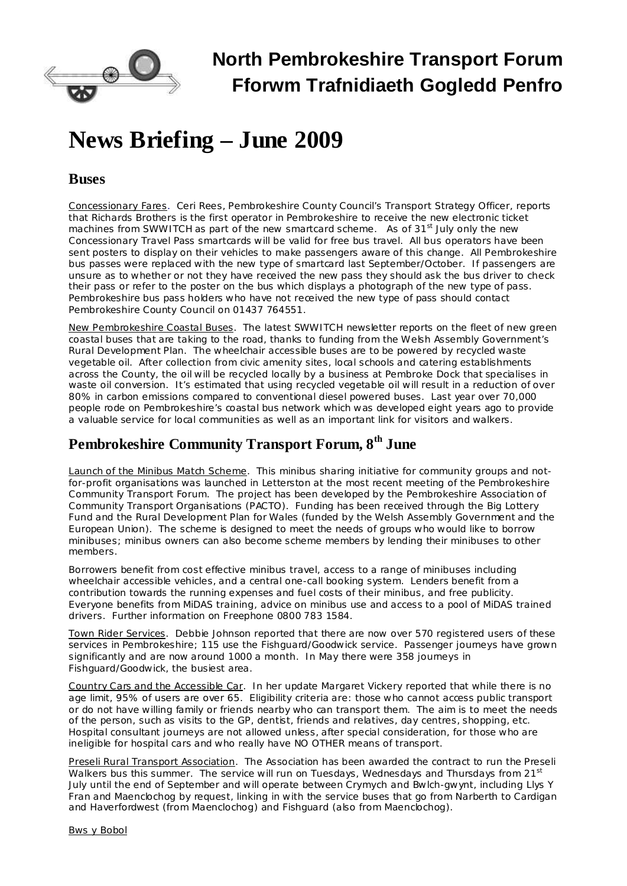

## **North Pembrokeshire Transport Forum Fforwm Trafnidiaeth Gogledd Penfro**

# **News Briefing – June 2009**

#### **Buses**

Concessionary Fares. Ceri Rees, Pembrokeshire County Council's Transport Strategy Officer, reports that Richards Brothers is the first operator in Pembrokeshire to receive the new electronic ticket machines from SWWITCH as part of the new smartcard scheme. As of 31<sup>st</sup> July only the new Concessionary Travel Pass smartcards will be valid for free bus travel. All bus operators have been sent posters to display on their vehicles to make passengers aware of this change. All Pembrokeshire bus passes were replaced with the new type of smartcard last September/October. If passengers are unsure as to whether or not they have received the new pass they should ask the bus driver to check their pass or refer to the poster on the bus which displays a photograph of the new type of pass. Pembrokeshire bus pass holders who have not received the new type of pass should contact Pembrokeshire County Council on 01437 764551.

New Pembrokeshire Coastal Buses. The latest SWWITCH newsletter reports on the fleet of new green coastal buses that are taking to the road, thanks to funding from the Welsh Assembly Government's Rural Development Plan. The wheelchair accessible buses are to be powered by recycled waste vegetable oil. After collection from civic amenity sites, local schools and catering establishments across the County, the oil will be recycled locally by a business at Pembroke Dock that specialises in waste oil conversion. It's estimated that using recycled vegetable oil will result in a reduction of over 80% in carbon emissions compared to conventional diesel powered buses. Last year over 70,000 people rode on Pembrokeshire's coastal bus network which was developed eight years ago to provide a valuable service for local communities as well as an important link for visitors and walkers.

## **Pembrokeshire Community Transport Forum, 8 th June**

Launch of the Minibus Match Scheme. This minibus sharing initiative for community groups and notfor-profit organisations was launched in Letterston at the most recent meeting of the Pembrokeshire Community Transport Forum. The project has been developed by the Pembrokeshire Association of Community Transport Organisations (PACTO). Funding has been received through the Big Lottery Fund and the Rural Development Plan for Wales (funded by the Welsh Assembly Government and the European Union). The scheme is designed to meet the needs of groups who would like to borrow minibuses; minibus owners can also become scheme members by lending their minibuses to other members.

Borrowers benefit from cost effective minibus travel, access to a range of minibuses including wheelchair accessible vehicles, and a central one-call booking system. Lenders benefit from a contribution towards the running expenses and fuel costs of their minibus, and free publicity. Everyone benefits from MiDAS training, advice on minibus use and access to a pool of MiDAS trained drivers. Further information on Freephone 0800 783 1584.

Town Rider Services. Debbie Johnson reported that there are now over 570 registered users of these services in Pembrokeshire; 115 use the Fishguard/Goodwick service. Passenger journeys have grown significantly and are now around 1000 a month. In May there were 358 journeys in Fishguard/Goodwick, the busiest area.

Country Cars and the Accessible Car. In her update Margaret Vickery reported that while there is no age limit, 95% of users are over 65. Eligibility criteria are: those who cannot access public transport or do not have willing family or friends nearby who can transport them. The aim is to meet the needs of the person, such as visits to the GP, dentist, friends and relatives, day centres, shopping, etc. Hospital consultant journeys are not allowed unless, after special consideration, for those who are ineligible for hospital cars and who really have NO OTHER means of transport.

Preseli Rural Transport Association. The Association has been awarded the contract to run the Preseli Walkers bus this summer. The service will run on Tuesdays, Wednesdays and Thursdays from 21<sup>st</sup> July until the end of September and will operate between Crymych and Bwlch-gwynt, including Llys Y Fran and Maenclochog by request, linking in with the service buses that go from Narberth to Cardigan and Haverfordwest (from Maenclochog) and Fishguard (also from Maenclochog).